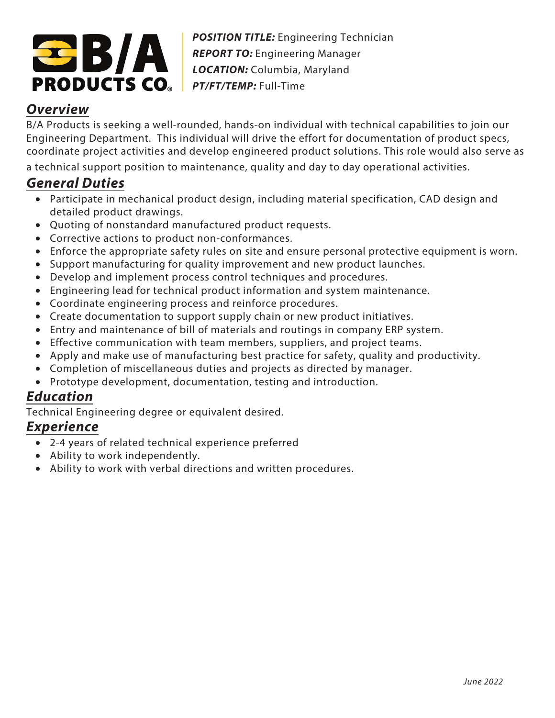

*POSITION TITLE:* Engineering Technician *REPORT TO:* Engineering Manager *LOCATION:* Columbia, Maryland *PT/FT/TEMP:* Full-Time

## **Overview**

B/A Products is seeking a well-rounded, hands-on individual with technical capabilities to join our Engineering Department. This individual will drive the effort for documentation of product specs, coordinate project activities and develop engineered product solutions. This role would also serve as a technical support position to maintenance, quality and day to day operational activities.

## **General Duties**

- Participate in mechanical product design, including material specification, CAD design and detailed product drawings.
- Quoting of nonstandard manufactured product requests.
- Corrective actions to product non-conformances.
- Enforce the appropriate safety rules on site and ensure personal protective equipment is worn.
- Support manufacturing for quality improvement and new product launches.
- Develop and implement process control techniques and procedures.
- Engineering lead for technical product information and system maintenance.
- Coordinate engineering process and reinforce procedures.
- Create documentation to support supply chain or new product initiatives.
- Entry and maintenance of bill of materials and routings in company ERP system.
- Effective communication with team members, suppliers, and project teams.
- Apply and make use of manufacturing best practice for safety, quality and productivity.
- Completion of miscellaneous duties and projects as directed by manager.
- Prototype development, documentation, testing and introduction.

## **Education**

Technical Engineering degree or equivalent desired.

## **Experience**

- 2-4 years of related technical experience preferred
- Ability to work independently.
- Ability to work with verbal directions and written procedures.